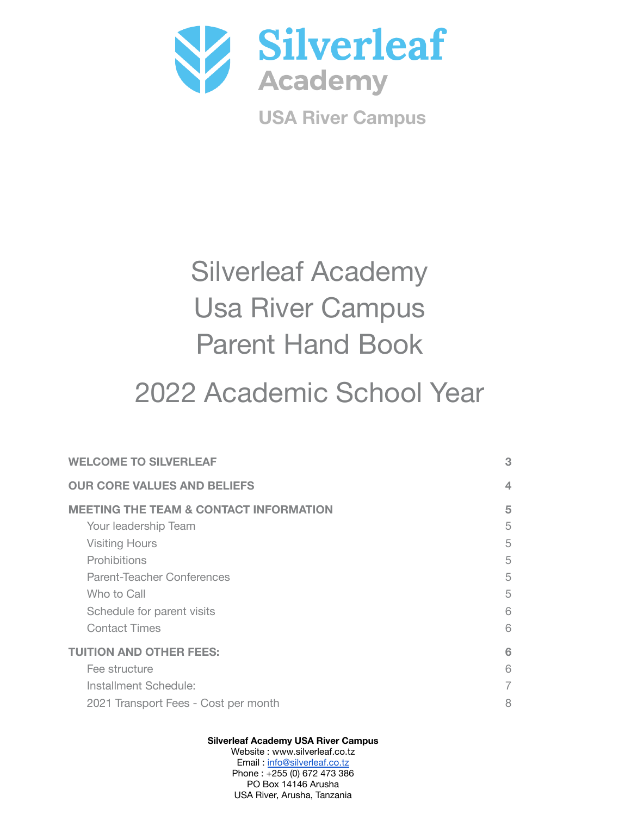

**USA River Campus**

# Silverleaf Academy Usa River Campus Parent Hand Book

# 2022 Academic School Year

| <b>WELCOME TO SILVERLEAF</b>                      | 3 |
|---------------------------------------------------|---|
| <b>OUR CORE VALUES AND BELIEFS</b>                | 4 |
| <b>MEETING THE TEAM &amp; CONTACT INFORMATION</b> | 5 |
| Your leadership Team                              | 5 |
| <b>Visiting Hours</b>                             | 5 |
| Prohibitions                                      | 5 |
| <b>Parent-Teacher Conferences</b>                 | 5 |
| Who to Call                                       | 5 |
| Schedule for parent visits                        | 6 |
| <b>Contact Times</b>                              | 6 |
| <b>TUITION AND OTHER FEES:</b>                    | 6 |
| Fee structure                                     | 6 |
| Installment Schedule:                             | 7 |
| 2021 Transport Fees - Cost per month              | 8 |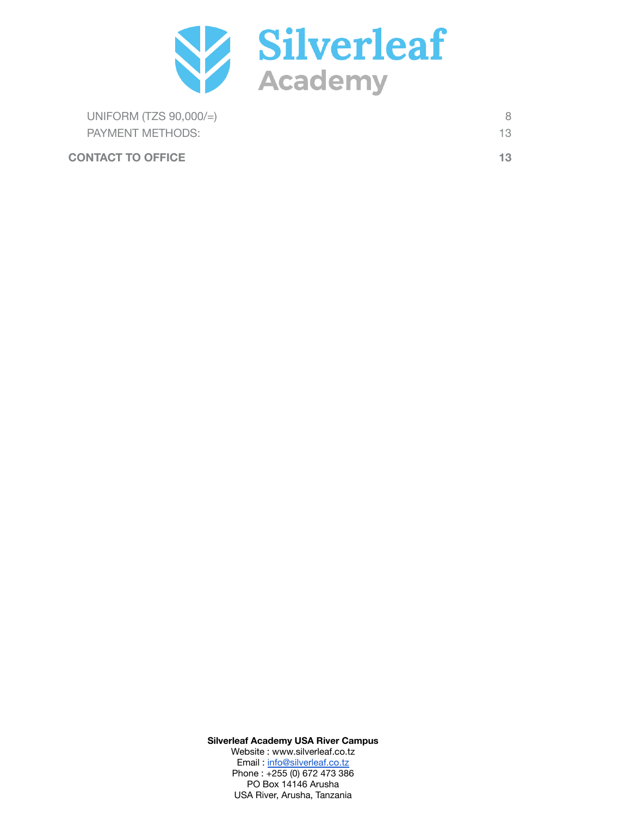

| UNIFORM (TZS $90,000/=\right)$ |    |
|--------------------------------|----|
| PAYMENT METHODS:               | 13 |
| <b>CONTACT TO OFFICE</b>       | 13 |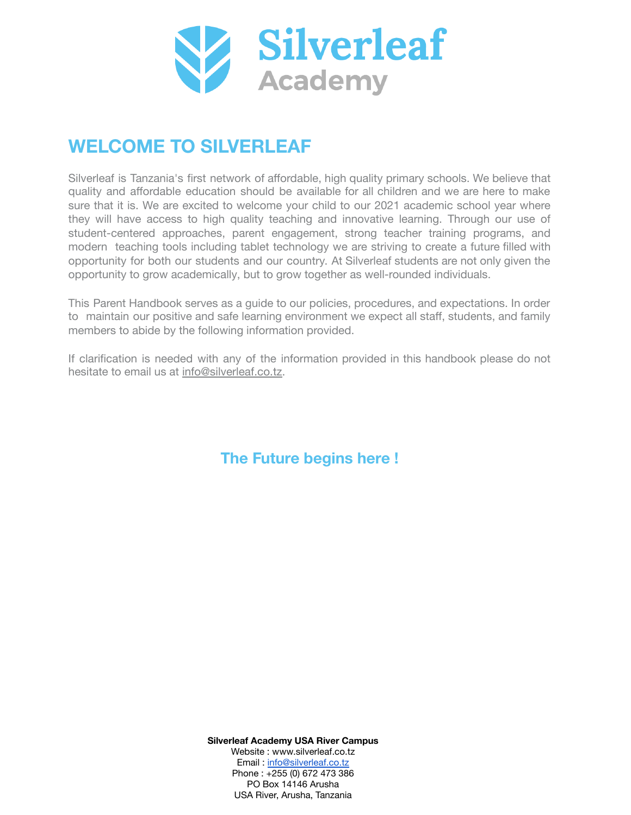

# <span id="page-2-0"></span>**WELCOME TO SILVERLEAF**

Silverleaf is Tanzania's first network of affordable, high quality primary schools. We believe that quality and affordable education should be available for all children and we are here to make sure that it is. We are excited to welcome your child to our 2021 academic school year where they will have access to high quality teaching and innovative learning. Through our use of student-centered approaches, parent engagement, strong teacher training programs, and modern teaching tools including tablet technology we are striving to create a future filled with opportunity for both our students and our country. At Silverleaf students are not only given the opportunity to grow academically, but to grow together as well-rounded individuals.

This Parent Handbook serves as a guide to our policies, procedures, and expectations. In order to maintain our positive and safe learning environment we expect all staff, students, and family members to abide by the following information provided.

If clarification is needed with any of the information provided in this handbook please do not hesitate to email us at info@silverleaf.co.tz.

**The Future begins here !**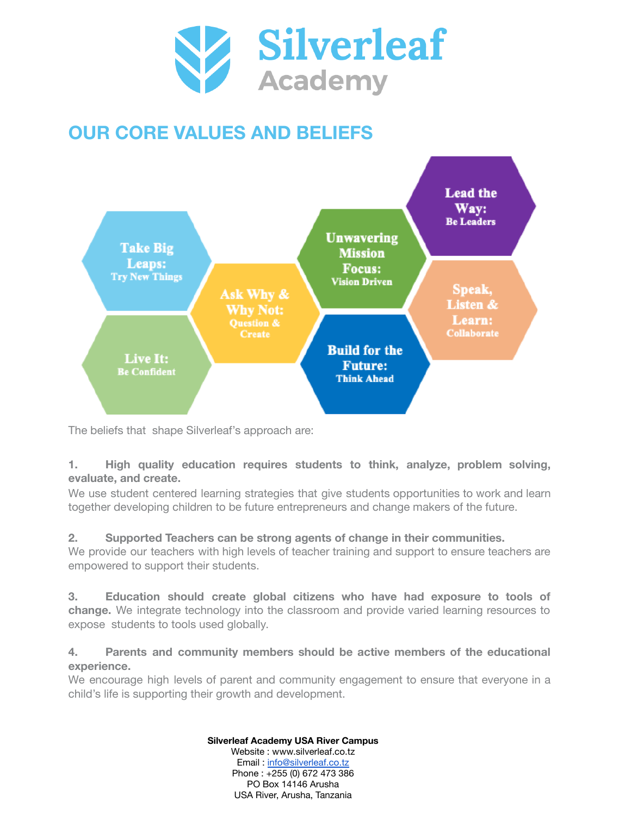

# <span id="page-3-0"></span>**OUR CORE VALUES AND BELIEFS**



The beliefs that shape Silverleaf's approach are:

## **1. High quality education requires students to think, analyze, problem solving, evaluate, and create.**

We use student centered learning strategies that give students opportunities to work and learn together developing children to be future entrepreneurs and change makers of the future.

# **2. Supported Teachers can be strong agents of change in their communities.**

We provide our teachers with high levels of teacher training and support to ensure teachers are empowered to support their students.

**3. Education should create global citizens who have had exposure to tools of change.** We integrate technology into the classroom and provide varied learning resources to expose students to tools used globally.

## **4. Parents and community members should be active members of the educational experience.**

We encourage high levels of parent and community engagement to ensure that everyone in a child's life is supporting their growth and development.

#### **Silverleaf Academy USA River Campus**

Website : www.silverleaf.co.tz Email : [info@silverleaf.co.tz](mailto:info@silverleaf.co.tz) Phone : +255 (0) 672 473 386 PO Box 14146 Arusha USA River, Arusha, Tanzania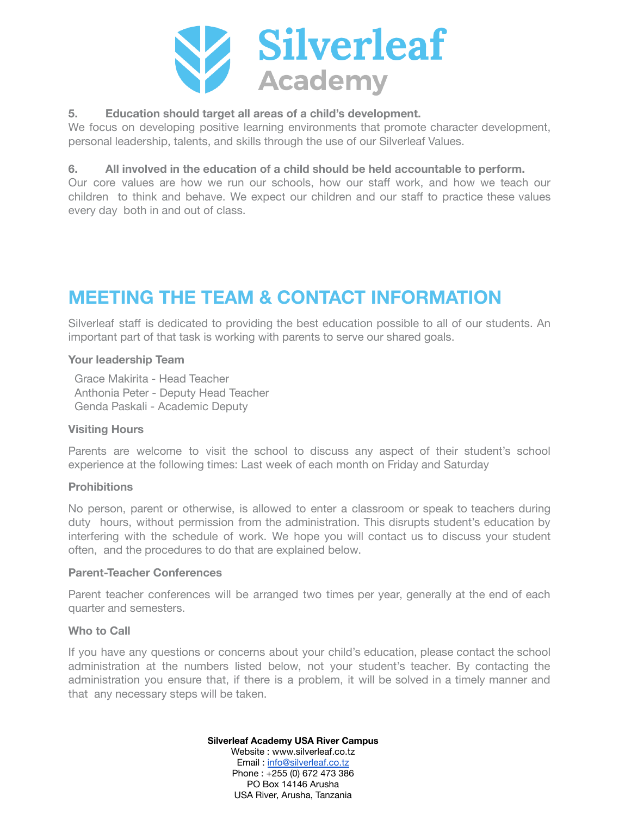

### **5. Education should target all areas of a child's development.**

We focus on developing positive learning environments that promote character development, personal leadership, talents, and skills through the use of our Silverleaf Values.

### **6. All involved in the education of a child should be held accountable to perform.**

Our core values are how we run our schools, how our staff work, and how we teach our children to think and behave. We expect our children and our staff to practice these values every day both in and out of class.

# <span id="page-4-0"></span>**MEETING THE TEAM & CONTACT INFORMATION**

Silverleaf staff is dedicated to providing the best education possible to all of our students. An important part of that task is working with parents to serve our shared goals.

#### <span id="page-4-1"></span>**Your leadership Team**

Grace Makirita - Head Teacher Anthonia Peter - Deputy Head Teacher Genda Paskali - Academic Deputy

#### <span id="page-4-2"></span>**Visiting Hours**

Parents are welcome to visit the school to discuss any aspect of their student's school experience at the following times: Last week of each month on Friday and Saturday

#### <span id="page-4-3"></span>**Prohibitions**

No person, parent or otherwise, is allowed to enter a classroom or speak to teachers during duty hours, without permission from the administration. This disrupts student's education by interfering with the schedule of work. We hope you will contact us to discuss your student often, and the procedures to do that are explained below.

#### <span id="page-4-4"></span>**Parent-Teacher Conferences**

Parent teacher conferences will be arranged two times per year, generally at the end of each quarter and semesters.

#### <span id="page-4-5"></span>**Who to Call**

If you have any questions or concerns about your child's education, please contact the school administration at the numbers listed below, not your student's teacher. By contacting the administration you ensure that, if there is a problem, it will be solved in a timely manner and that any necessary steps will be taken.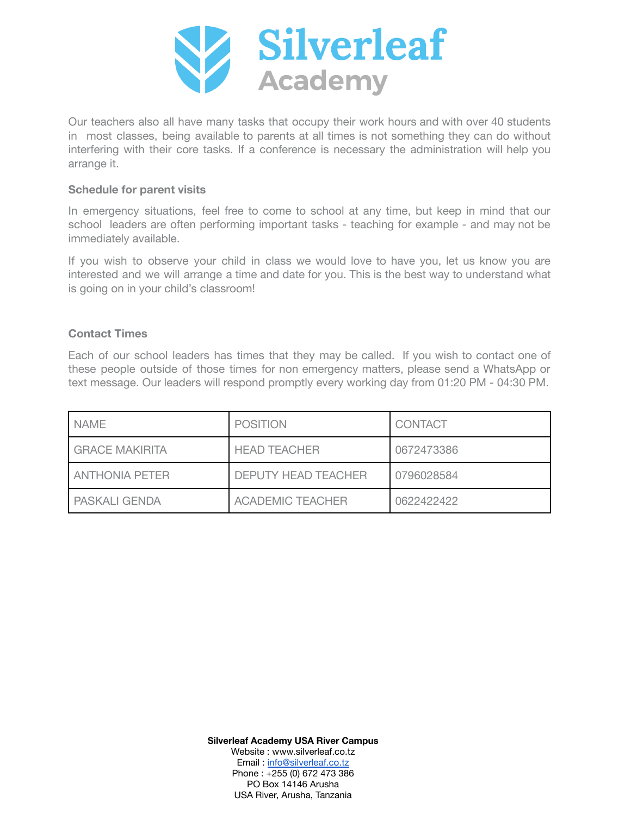

Our teachers also all have many tasks that occupy their work hours and with over 40 students in most classes, being available to parents at all times is not something they can do without interfering with their core tasks. If a conference is necessary the administration will help you arrange it.

#### <span id="page-5-0"></span>**Schedule for parent visits**

In emergency situations, feel free to come to school at any time, but keep in mind that our school leaders are often performing important tasks - teaching for example - and may not be immediately available.

If you wish to observe your child in class we would love to have you, let us know you are interested and we will arrange a time and date for you. This is the best way to understand what is going on in your child's classroom!

#### <span id="page-5-1"></span>**Contact Times**

Each of our school leaders has times that they may be called. If you wish to contact one of these people outside of those times for non emergency matters, please send a WhatsApp or text message. Our leaders will respond promptly every working day from 01:20 PM - 04:30 PM.

<span id="page-5-2"></span>

| <b>NAME</b>           | <b>POSITION</b>            | <b>CONTACT</b> |
|-----------------------|----------------------------|----------------|
| <b>GRACE MAKIRITA</b> | <b>HEAD TEACHER</b>        | 0672473386     |
| I ANTHONIA PETER      | <b>DEPUTY HEAD TEACHER</b> | 0796028584     |
| <b>PASKALI GENDA</b>  | <b>ACADEMIC TEACHER</b>    | 0622422422     |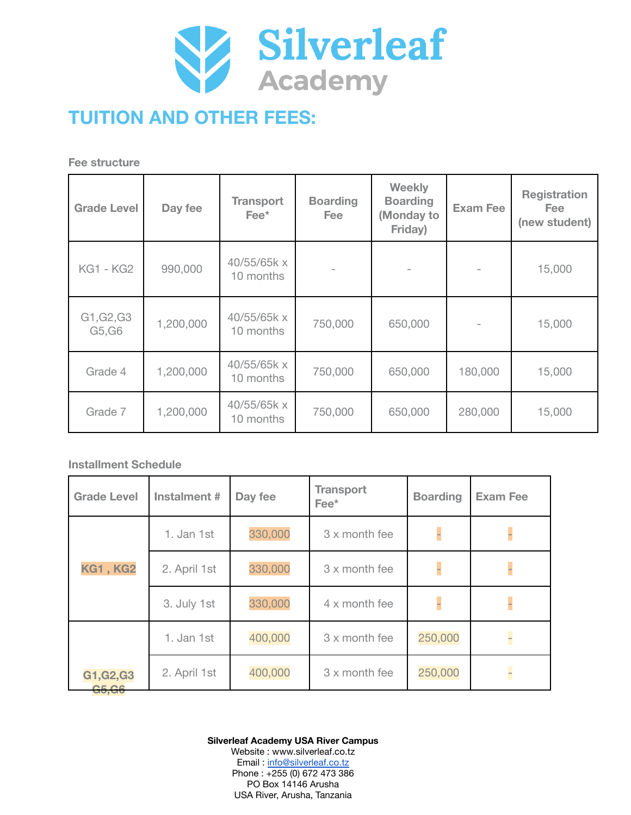

# **TUITION AND OTHER FEES:**

<span id="page-6-0"></span>**Fee structure**

| <b>Grade Level</b>   | Day fee   | <b>Transport</b><br>$\mathsf{Fee}^{\star}$ | <b>Boarding</b><br>Fee i | Weekly<br><b>Boarding</b><br>(Monday to<br>Friday) | <b>Exam Fee</b> | <b>Registration</b><br><b>Fee</b><br>(new student) |
|----------------------|-----------|--------------------------------------------|--------------------------|----------------------------------------------------|-----------------|----------------------------------------------------|
| <b>KG1 - KG2</b>     | 990,000   | 40/55/65k x<br>10 months                   |                          |                                                    |                 | 15,000                                             |
| G1, G2, G3<br>G5, G6 | 1,200,000 | 40/55/65k x<br>10 months                   | 750,000                  | 650,000                                            |                 | 15,000                                             |
| Grade 4              | 1,200,000 | 40/55/65k x<br>10 months                   | 750,000                  | 650,000                                            | 180,000         | 15,000                                             |
| Grade 7              | 1,200,000 | 40/55/65k x<br>10 months                   | 750,000                  | 650,000                                            | 280,000         | 15,000                                             |

### <span id="page-6-1"></span>**Installment Schedule**

| <b>Grade Level</b>   | Instalment # | Day fee | <b>Transport</b><br>$\text{Fee}^{\star}$ | <b>Boarding</b> | <b>Exam Fee</b> |
|----------------------|--------------|---------|------------------------------------------|-----------------|-----------------|
|                      | 1. Jan 1st   | 330,000 | 3 x month fee                            |                 |                 |
| <b>KG1, KG2</b>      | 2. April 1st | 330,000 | 3 x month fee                            |                 |                 |
|                      | 3. July 1st  | 330,000 | 4 x month fee                            |                 |                 |
|                      | 1. Jan 1st   | 400,000 | 3 x month fee                            | 250,000         | $\overline{a}$  |
| G1, G2, G3<br>G5, G6 | 2. April 1st | 400,000 | 3 x month fee                            | 250,000         | F               |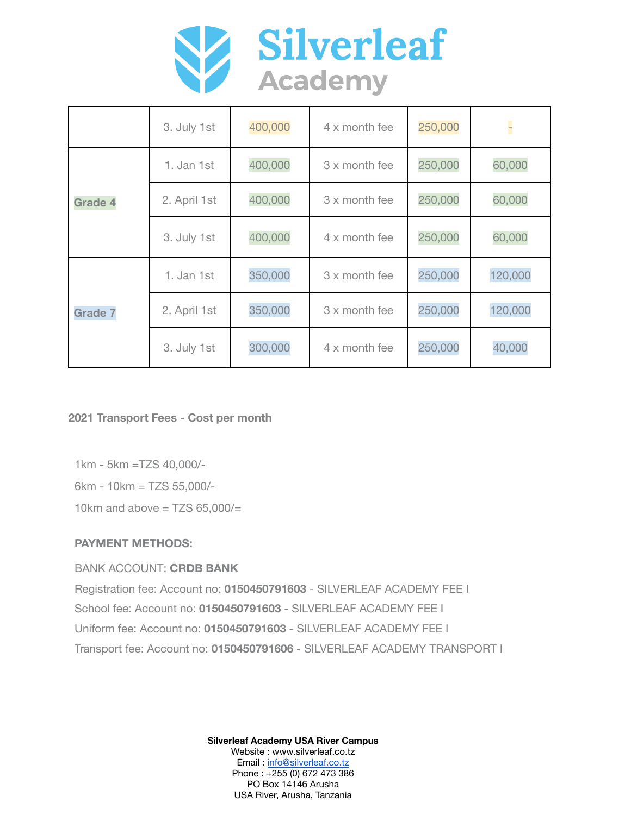

|                | 3. July 1st  | 400,000 | 4 x month fee | 250,000 | l.      |
|----------------|--------------|---------|---------------|---------|---------|
|                | 1. Jan 1st   | 400,000 | 3 x month fee | 250,000 | 60,000  |
| <b>Grade 4</b> | 2. April 1st | 400,000 | 3 x month fee | 250,000 | 60,000  |
|                | 3. July 1st  | 400,000 | 4 x month fee | 250,000 | 60,000  |
| <b>Grade 7</b> | 1. Jan 1st   | 350,000 | 3 x month fee | 250,000 | 120,000 |
|                | 2. April 1st | 350,000 | 3 x month fee | 250,000 | 120,000 |
|                | 3. July 1st  | 300,000 | 4 x month fee | 250,000 | 40,000  |

<span id="page-7-0"></span>**2021 Transport Fees - Cost per month**

1km - 5km =TZS 40,000/-

6km - 10km = TZS 55,000/-

10km and above  $=$  TZS 65.000/ $=$ 

## <span id="page-7-1"></span>**PAYMENT METHODS:**

## BANK ACCOUNT: **CRDB BANK**

Registration fee: Account no: **0150450791603** - SILVERLEAF ACADEMY FEE I School fee: Account no: **0150450791603** - SILVERLEAF ACADEMY FEE I Uniform fee: Account no: **0150450791603** - SILVERLEAF ACADEMY FEE I Transport fee: Account no: **0150450791606** - SILVERLEAF ACADEMY TRANSPORT I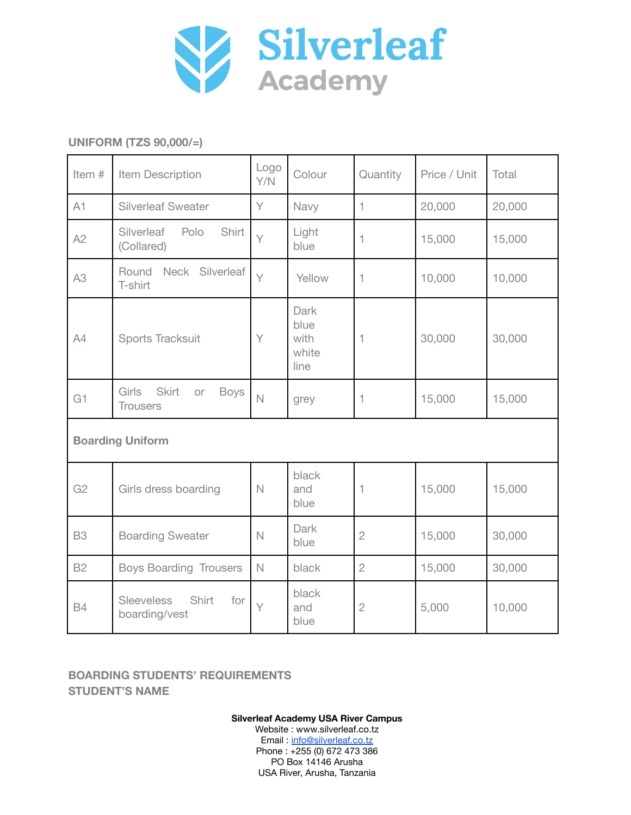

## <span id="page-8-0"></span>**UNIFORM (TZS 90,000/=)**

| Item #         | Item Description                                                     | Logo<br>Y/N    | Colour                                | Quantity       | Price / Unit | Total  |
|----------------|----------------------------------------------------------------------|----------------|---------------------------------------|----------------|--------------|--------|
| A1             | <b>Silverleaf Sweater</b>                                            | Y              | Navy                                  | 1              | 20,000       | 20,000 |
| A2             | Silverleaf<br>Polo<br>Shirt<br>(Collared)                            | $\vee$         | Light<br>blue                         | 1              | 15,000       | 15,000 |
| A <sub>3</sub> | Round<br>Neck Silverleaf<br>T-shirt                                  | $\vee$         | Yellow                                | 1              | 10,000       | 10,000 |
| A4             | Sports Tracksuit                                                     | Y              | Dark<br>blue<br>with<br>white<br>line | 1              | 30,000       | 30,000 |
| G1             | <b>Girls</b><br><b>Skirt</b><br><b>Boys</b><br>or<br><b>Trousers</b> | $\overline{N}$ | grey                                  | 1              | 15,000       | 15,000 |
|                | <b>Boarding Uniform</b>                                              |                |                                       |                |              |        |
| G <sub>2</sub> | Girls dress boarding                                                 |                | black<br>and<br>blue                  | 1              | 15,000       | 15,000 |
| <b>B3</b>      | <b>Boarding Sweater</b>                                              | $\mathbb N$    | Dark<br>blue                          | $\overline{2}$ | 15,000       | 30,000 |
| <b>B2</b>      | <b>Boys Boarding Trousers</b>                                        | $\mathbb N$    | black                                 | $\overline{2}$ | 15,000       | 30,000 |
| <b>B4</b>      | <b>Sleeveless</b><br>Shirt<br>for<br>boarding/vest                   | $\vee$         | black<br>and<br>blue                  | $\mathbf{2}$   | 5,000        | 10,000 |

### **BOARDING STUDENTS' REQUIREMENTS STUDENT'S NAME**

**Silverleaf Academy USA River Campus** Website : www.silverleaf.co.tz

Email: [info@silverleaf.co.tz](mailto:info@silverleaf.co.tz) Phone : +255 (0) 672 473 386 PO Box 14146 Arusha USA River, Arusha, Tanzania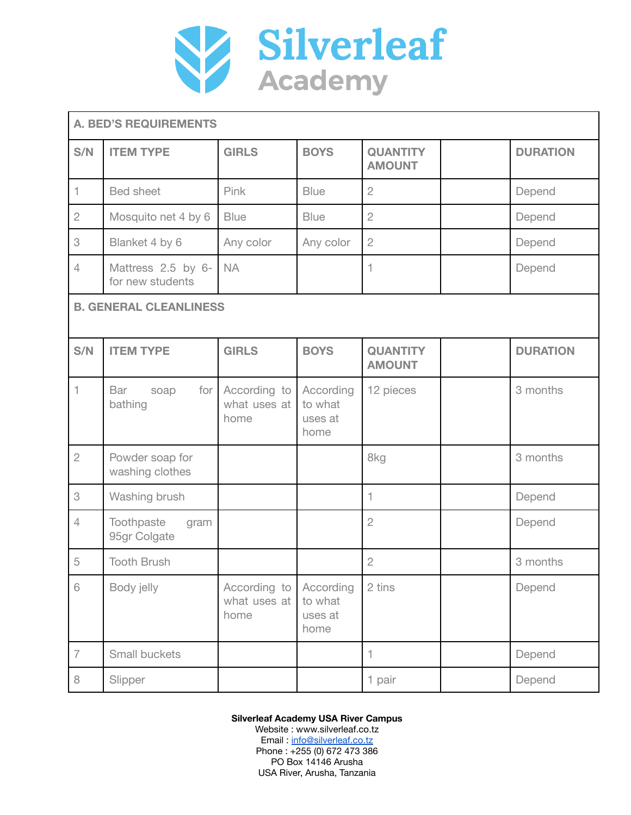

|                | <b>A. BED'S REQUIREMENTS</b>           |                                      |                                         |                                  |                 |
|----------------|----------------------------------------|--------------------------------------|-----------------------------------------|----------------------------------|-----------------|
| S/N            | <b>ITEM TYPE</b>                       | <b>GIRLS</b>                         | <b>BOYS</b>                             | <b>QUANTITY</b><br><b>AMOUNT</b> | <b>DURATION</b> |
| $\mathbf{1}$   | <b>Bed sheet</b>                       | Pink                                 | <b>Blue</b>                             | $\overline{2}$                   | Depend          |
| $\overline{2}$ | Mosquito net 4 by 6                    | <b>Blue</b>                          | <b>Blue</b>                             | $\overline{2}$                   | Depend          |
| 3              | Blanket 4 by 6                         | Any color                            | Any color                               | $\overline{2}$                   | Depend          |
| $\overline{4}$ | Mattress 2.5 by 6-<br>for new students | <b>NA</b>                            |                                         | 1                                | Depend          |
|                | <b>B. GENERAL CLEANLINESS</b>          |                                      |                                         |                                  |                 |
| S/N            | <b>ITEM TYPE</b>                       | <b>GIRLS</b>                         | <b>BOYS</b>                             | <b>QUANTITY</b><br><b>AMOUNT</b> | <b>DURATION</b> |
| $\mathbf{1}$   | Bar<br>for<br>soap<br>bathing          | According to<br>what uses at<br>home | According<br>to what<br>uses at<br>home | 12 pieces                        | 3 months        |
| $\overline{2}$ | Powder soap for<br>washing clothes     |                                      |                                         | 8kg                              | 3 months        |
| 3              | Washing brush                          |                                      |                                         | 1                                | Depend          |
| $\overline{4}$ | Toothpaste<br>gram<br>95gr Colgate     |                                      |                                         | $\overline{2}$                   | Depend          |
| 5              | <b>Tooth Brush</b>                     |                                      |                                         | $\mathbf{2}$                     | 3 months        |
| 6              | Body jelly                             | According to<br>what uses at<br>home | According<br>to what<br>uses at<br>home | 2 tins                           | Depend          |
| $\overline{7}$ | Small buckets                          |                                      |                                         | 1                                | Depend          |
| 8              | Slipper                                |                                      |                                         | 1 pair                           | Depend          |

**Silverleaf Academy USA River Campus** Website : www.silverleaf.co.tz

Email: [info@silverleaf.co.tz](mailto:info@silverleaf.co.tz) Phone : +255 (0) 672 473 386 PO Box 14146 Arusha USA River, Arusha, Tanzania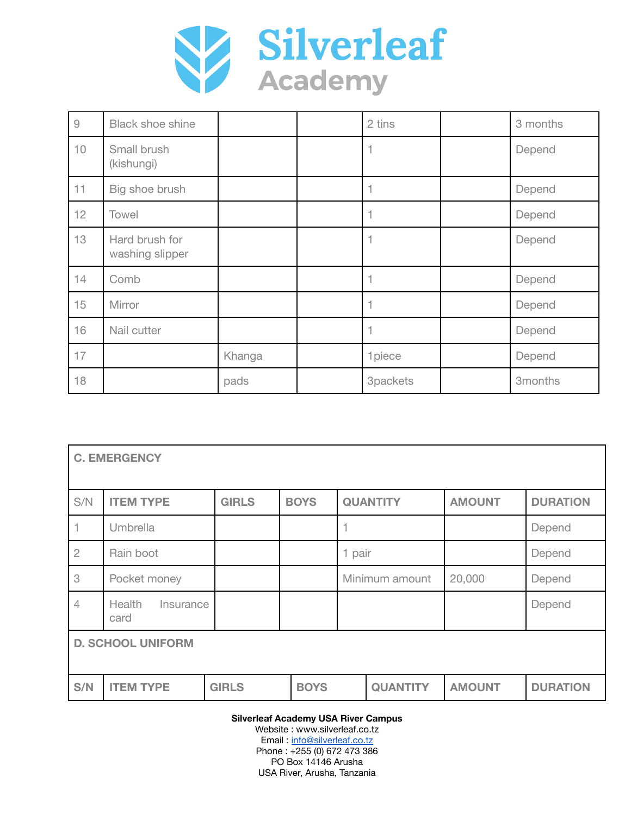

| $\mathcal{G}% _{M_{1},M_{2}}^{\alpha,\beta}(\varepsilon)$ | <b>Black shoe shine</b>           |        | 2 tins   | 3 months |
|-----------------------------------------------------------|-----------------------------------|--------|----------|----------|
| 10                                                        | Small brush<br>(kishungi)         |        | 1        | Depend   |
| 11                                                        | Big shoe brush                    |        | н        | Depend   |
| 12                                                        | Towel                             |        | 1        | Depend   |
| 13                                                        | Hard brush for<br>washing slipper |        | 1        | Depend   |
| 14                                                        | Comb                              |        | 4        | Depend   |
| 15                                                        | Mirror                            |        | 1        | Depend   |
| 16                                                        | Nail cutter                       |        | 1        | Depend   |
| 17                                                        |                                   | Khanga | 1piece   | Depend   |
| 18                                                        |                                   | pads   | 3packets | 3months  |

| <b>C. EMERGENCY</b>      |                             |              |             |                |                 |               |                 |  |
|--------------------------|-----------------------------|--------------|-------------|----------------|-----------------|---------------|-----------------|--|
| S/N                      | <b>ITEM TYPE</b>            | <b>GIRLS</b> | <b>BOYS</b> |                | <b>QUANTITY</b> | <b>AMOUNT</b> | <b>DURATION</b> |  |
|                          | Umbrella                    |              |             | 1              |                 |               | Depend          |  |
| $\overline{2}$           | Rain boot                   |              |             | 1 pair         |                 |               | Depend          |  |
| 3                        | Pocket money                |              |             | Minimum amount |                 | 20,000        | Depend          |  |
| 4                        | Health<br>Insurance<br>card |              |             |                |                 |               | Depend          |  |
| <b>D. SCHOOL UNIFORM</b> |                             |              |             |                |                 |               |                 |  |
| S/N                      | <b>ITEM TYPE</b>            | <b>GIRLS</b> | <b>BOYS</b> |                | <b>QUANTITY</b> | <b>AMOUNT</b> | <b>DURATION</b> |  |

**Silverleaf Academy USA River Campus**

Website : www.silverleaf.co.tz Email: [info@silverleaf.co.tz](mailto:info@silverleaf.co.tz) Phone : +255 (0) 672 473 386 PO Box 14146 Arusha USA River, Arusha, Tanzania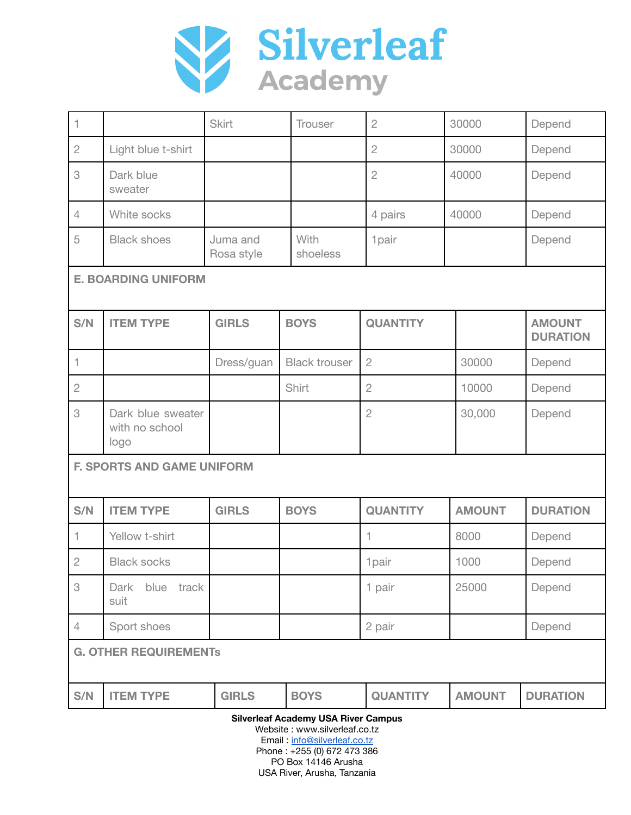

| $\mathbf{1}$   |                                             | <b>Skirt</b>           | <b>Trouser</b>       | $\overline{2}$  | 30000         | Depend                           |
|----------------|---------------------------------------------|------------------------|----------------------|-----------------|---------------|----------------------------------|
| $\overline{2}$ | Light blue t-shirt                          |                        |                      | $\overline{2}$  | 30000         | Depend                           |
| 3              | Dark blue<br>sweater                        |                        |                      | $\overline{2}$  | 40000         | Depend                           |
| $\overline{4}$ | White socks                                 |                        |                      | 4 pairs         | 40000         | Depend                           |
| 5              | <b>Black shoes</b>                          | Juma and<br>Rosa style | With<br>shoeless     | 1pair           |               | Depend                           |
|                | <b>E. BOARDING UNIFORM</b>                  |                        |                      |                 |               |                                  |
| S/N            | <b>ITEM TYPE</b>                            | <b>GIRLS</b>           | <b>BOYS</b>          | <b>QUANTITY</b> |               | <b>AMOUNT</b><br><b>DURATION</b> |
| $\mathbf{1}$   |                                             | Dress/guan             | <b>Black trouser</b> | $\mathbf{2}$    | 30000         | Depend                           |
| $\overline{2}$ |                                             |                        | Shirt                | $\overline{2}$  | 10000         | Depend                           |
| 3              | Dark blue sweater<br>with no school<br>logo |                        |                      | $\overline{c}$  | 30,000        | Depend                           |
|                | <b>F. SPORTS AND GAME UNIFORM</b>           |                        |                      |                 |               |                                  |
| S/N            | <b>ITEM TYPE</b>                            | <b>GIRLS</b>           | <b>BOYS</b>          | <b>QUANTITY</b> | <b>AMOUNT</b> | <b>DURATION</b>                  |
| $\mathbf 1$    | Yellow t-shirt                              |                        |                      |                 | 8000          | Depend                           |
| $\mathbf{2}$   | <b>Black socks</b>                          |                        |                      | 1pair           | 1000          | Depend                           |
| 3              | blue track<br>Dark<br>suit                  |                        |                      | 1 pair          | 25000         | Depend                           |
| $\overline{4}$ | Sport shoes                                 |                        |                      | 2 pair          |               | Depend                           |
|                | <b>G. OTHER REQUIREMENTS</b>                |                        |                      |                 |               |                                  |
| S/N            | <b>ITEM TYPE</b>                            | <b>GIRLS</b>           | <b>BOYS</b>          | <b>QUANTITY</b> | <b>AMOUNT</b> | <b>DURATION</b>                  |

**Silverleaf Academy USA River Campus**

Website : www.silverleaf.co.tz Email: [info@silverleaf.co.tz](mailto:info@silverleaf.co.tz) Phone : +255 (0) 672 473 386 PO Box 14146 Arusha USA River, Arusha, Tanzania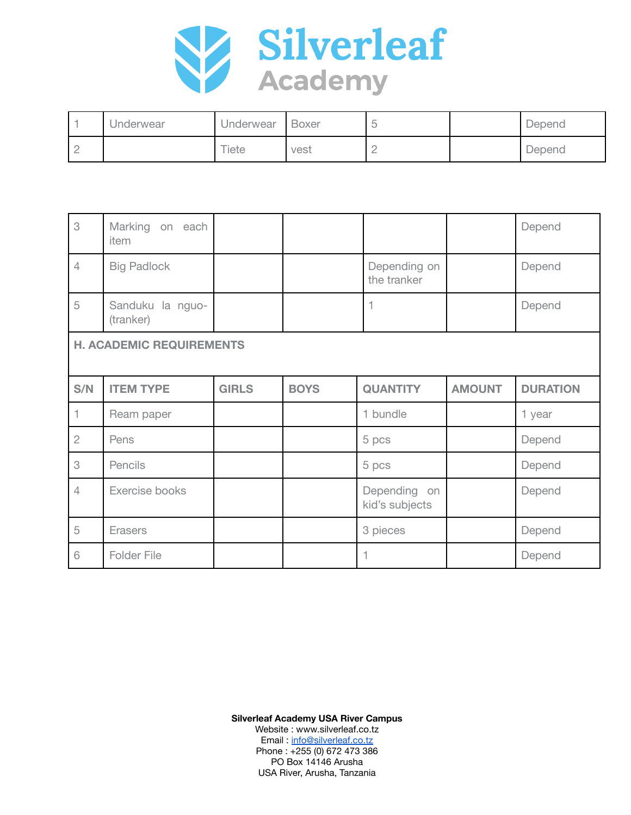

|          | Underwear | Underwear | <b>Boxer</b> |   | Depend |
|----------|-----------|-----------|--------------|---|--------|
| <b>.</b> |           | Tiete     | vest         | - | Depend |

| 3                               | Marking on each<br>item       |              |             |                                |               | Depend          |
|---------------------------------|-------------------------------|--------------|-------------|--------------------------------|---------------|-----------------|
| $\overline{4}$                  | <b>Big Padlock</b>            |              |             | Depending on<br>the tranker    |               | Depend          |
| 5                               | Sanduku la nguo-<br>(tranker) |              |             | 1                              |               | Depend          |
| <b>H. ACADEMIC REQUIREMENTS</b> |                               |              |             |                                |               |                 |
| S/N                             | <b>ITEM TYPE</b>              | <b>GIRLS</b> | <b>BOYS</b> | <b>QUANTITY</b>                | <b>AMOUNT</b> | <b>DURATION</b> |
| 1                               | Ream paper                    |              |             | 1 bundle                       |               | 1 year          |
| $\overline{2}$                  | Pens                          |              |             | 5 pcs                          |               | Depend          |
| 3                               | Pencils                       |              |             | 5 pcs                          |               | Depend          |
| $\overline{4}$                  | Exercise books                |              |             | Depending on<br>kid's subjects |               | Depend          |
| 5                               | Erasers                       |              |             | 3 pieces                       |               | Depend          |
| 6                               | Folder File                   |              |             |                                |               | Depend          |

**Silverleaf Academy USA River Campus** Website : www.silverleaf.co.tz

Email: [info@silverleaf.co.tz](mailto:info@silverleaf.co.tz) Phone : +255 (0) 672 473 386 PO Box 14146 Arusha USA River, Arusha, Tanzania